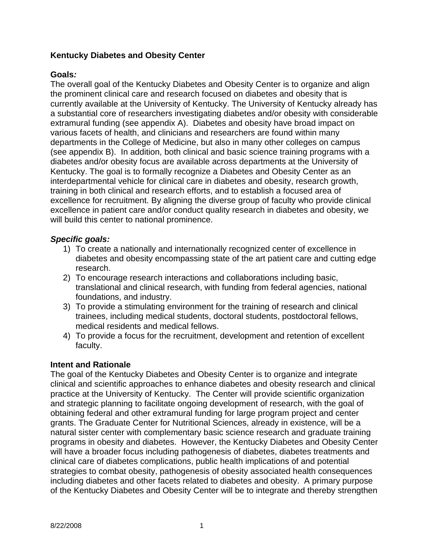## **Kentucky Diabetes and Obesity Center**

## **Goals***:*

The overall goal of the Kentucky Diabetes and Obesity Center is to organize and align the prominent clinical care and research focused on diabetes and obesity that is currently available at the University of Kentucky. The University of Kentucky already has a substantial core of researchers investigating diabetes and/or obesity with considerable extramural funding (see appendix A). Diabetes and obesity have broad impact on various facets of health, and clinicians and researchers are found within many departments in the College of Medicine, but also in many other colleges on campus (see appendix B). In addition, both clinical and basic science training programs with a diabetes and/or obesity focus are available across departments at the University of Kentucky. The goal is to formally recognize a Diabetes and Obesity Center as an interdepartmental vehicle for clinical care in diabetes and obesity, research growth, training in both clinical and research efforts, and to establish a focused area of excellence for recruitment. By aligning the diverse group of faculty who provide clinical excellence in patient care and/or conduct quality research in diabetes and obesity, we will build this center to national prominence.

## *Specific goals:*

- 1) To create a nationally and internationally recognized center of excellence in diabetes and obesity encompassing state of the art patient care and cutting edge research.
- 2) To encourage research interactions and collaborations including basic, translational and clinical research, with funding from federal agencies, national foundations, and industry.
- 3) To provide a stimulating environment for the training of research and clinical trainees, including medical students, doctoral students, postdoctoral fellows, medical residents and medical fellows.
- 4) To provide a focus for the recruitment, development and retention of excellent faculty.

### **Intent and Rationale**

The goal of the Kentucky Diabetes and Obesity Center is to organize and integrate clinical and scientific approaches to enhance diabetes and obesity research and clinical practice at the University of Kentucky. The Center will provide scientific organization and strategic planning to facilitate ongoing development of research, with the goal of obtaining federal and other extramural funding for large program project and center grants. The Graduate Center for Nutritional Sciences, already in existence, will be a natural sister center with complementary basic science research and graduate training programs in obesity and diabetes. However, the Kentucky Diabetes and Obesity Center will have a broader focus including pathogenesis of diabetes, diabetes treatments and clinical care of diabetes complications, public health implications of and potential strategies to combat obesity, pathogenesis of obesity associated health consequences including diabetes and other facets related to diabetes and obesity. A primary purpose of the Kentucky Diabetes and Obesity Center will be to integrate and thereby strengthen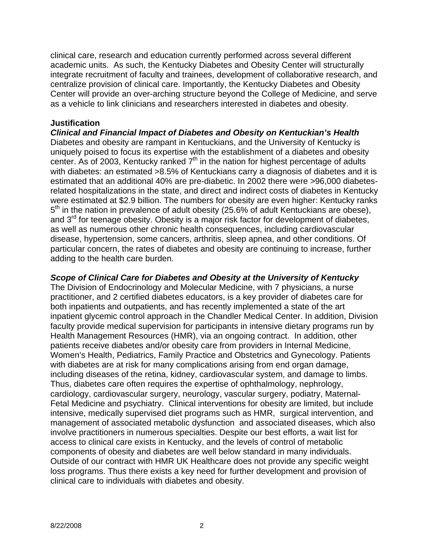clinical care, research and education currently performed across several different academic units. As such, the Kentucky Diabetes and Obesity Center will structurally integrate recruitment of faculty and trainees, development of collaborative research, and centralize provision of clinical care. Importantly, the Kentucky Diabetes and Obesity Center will provide an over-arching structure beyond the College of Medicine, and serve as a vehicle to link clinicians and researchers interested in diabetes and obesity.

#### **Justification**

*Clinical and Financial Impact of Diabetes and Obesity on Kentuckian's Health*  Diabetes and obesity are rampant in Kentuckians, and the University of Kentucky is uniquely poised to focus its expertise with the establishment of a diabetes and obesity center. As of 2003, Kentucky ranked  $7<sup>th</sup>$  in the nation for highest percentage of adults with diabetes: an estimated >8.5% of Kentuckians carry a diagnosis of diabetes and it is estimated that an additional 40% are pre-diabetic. In 2002 there were >96,000 diabetesrelated hospitalizations in the state, and direct and indirect costs of diabetes in Kentucky were estimated at \$2.9 billion. The numbers for obesity are even higher: Kentucky ranks 5<sup>th</sup> in the nation in prevalence of adult obesity (25.6% of adult Kentuckians are obese), and 3<sup>rd</sup> for teenage obesity. Obesity is a major risk factor for development of diabetes, as well as numerous other chronic health consequences, including cardiovascular disease, hypertension, some cancers, arthritis, sleep apnea, and other conditions. Of particular concern, the rates of diabetes and obesity are continuing to increase, further adding to the health care burden.

*Scope of Clinical Care for Diabetes and Obesity at the University of Kentucky*  The Division of Endocrinology and Molecular Medicine, with 7 physicians, a nurse practitioner, and 2 certified diabetes educators, is a key provider of diabetes care for both inpatients and outpatients, and has recently implemented a state of the art inpatient glycemic control approach in the Chandler Medical Center. In addition, Division faculty provide medical supervision for participants in intensive dietary programs run by Health Management Resources (HMR), via an ongoing contract. In addition, other patients receive diabetes and/or obesity care from providers in Internal Medicine, Women's Health, Pediatrics, Family Practice and Obstetrics and Gynecology. Patients with diabetes are at risk for many complications arising from end organ damage, including diseases of the retina, kidney, cardiovascular system, and damage to limbs. Thus, diabetes care often requires the expertise of ophthalmology, nephrology, cardiology, cardiovascular surgery, neurology, vascular surgery, podiatry, Maternal-Fetal Medicine and psychiatry. Clinical interventions for obesity are limited, but include intensive, medically supervised diet programs such as HMR, surgical intervention, and management of associated metabolic dysfunction and associated diseases, which also involve practitioners in numerous specialties. Despite our best efforts, a wait list for access to clinical care exists in Kentucky, and the levels of control of metabolic components of obesity and diabetes are well below standard in many individuals. Outside of our contract with HMR UK Healthcare does not provide any specific weight loss programs. Thus there exists a key need for further development and provision of clinical care to individuals with diabetes and obesity.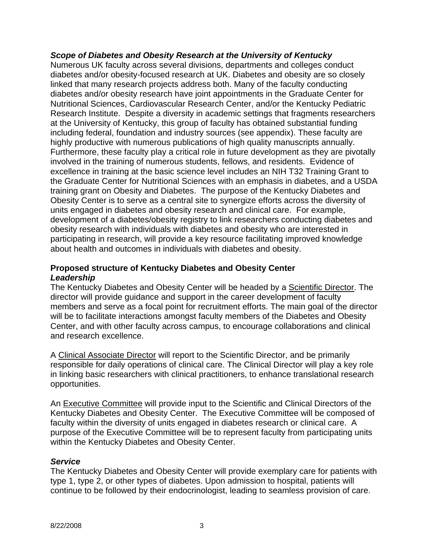### *Scope of Diabetes and Obesity Research at the University of Kentucky*

Numerous UK faculty across several divisions, departments and colleges conduct diabetes and/or obesity-focused research at UK. Diabetes and obesity are so closely linked that many research projects address both. Many of the faculty conducting diabetes and/or obesity research have joint appointments in the Graduate Center for Nutritional Sciences, Cardiovascular Research Center, and/or the Kentucky Pediatric Research Institute. Despite a diversity in academic settings that fragments researchers at the University of Kentucky, this group of faculty has obtained substantial funding including federal, foundation and industry sources (see appendix). These faculty are highly productive with numerous publications of high quality manuscripts annually. Furthermore, these faculty play a critical role in future development as they are pivotally involved in the training of numerous students, fellows, and residents. Evidence of excellence in training at the basic science level includes an NIH T32 Training Grant to the Graduate Center for Nutritional Sciences with an emphasis in diabetes, and a USDA training grant on Obesity and Diabetes. The purpose of the Kentucky Diabetes and Obesity Center is to serve as a central site to synergize efforts across the diversity of units engaged in diabetes and obesity research and clinical care. For example, development of a diabetes/obesity registry to link researchers conducting diabetes and obesity research with individuals with diabetes and obesity who are interested in participating in research, will provide a key resource facilitating improved knowledge about health and outcomes in individuals with diabetes and obesity.

### **Proposed structure of Kentucky Diabetes and Obesity Center**  *Leadership*

The Kentucky Diabetes and Obesity Center will be headed by a Scientific Director. The director will provide guidance and support in the career development of faculty members and serve as a focal point for recruitment efforts. The main goal of the director will be to facilitate interactions amongst faculty members of the Diabetes and Obesity Center, and with other faculty across campus, to encourage collaborations and clinical and research excellence.

A Clinical Associate Director will report to the Scientific Director, and be primarily responsible for daily operations of clinical care. The Clinical Director will play a key role in linking basic researchers with clinical practitioners, to enhance translational research opportunities.

An Executive Committee will provide input to the Scientific and Clinical Directors of the Kentucky Diabetes and Obesity Center. The Executive Committee will be composed of faculty within the diversity of units engaged in diabetes research or clinical care. A purpose of the Executive Committee will be to represent faculty from participating units within the Kentucky Diabetes and Obesity Center.

### *Service*

The Kentucky Diabetes and Obesity Center will provide exemplary care for patients with type 1, type 2, or other types of diabetes. Upon admission to hospital, patients will continue to be followed by their endocrinologist, leading to seamless provision of care.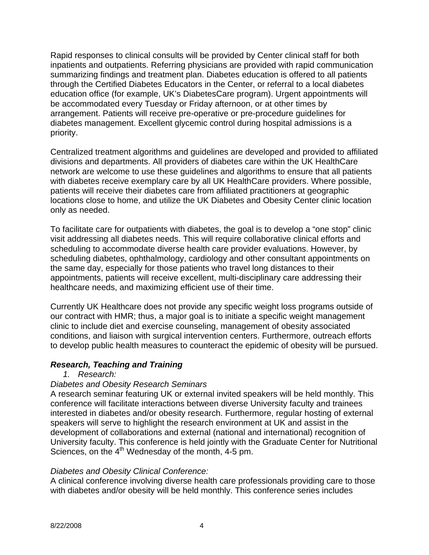Rapid responses to clinical consults will be provided by Center clinical staff for both inpatients and outpatients. Referring physicians are provided with rapid communication summarizing findings and treatment plan. Diabetes education is offered to all patients through the Certified Diabetes Educators in the Center, or referral to a local diabetes education office (for example, UK's DiabetesCare program). Urgent appointments will be accommodated every Tuesday or Friday afternoon, or at other times by arrangement. Patients will receive pre-operative or pre-procedure guidelines for diabetes management. Excellent glycemic control during hospital admissions is a priority.

Centralized treatment algorithms and guidelines are developed and provided to affiliated divisions and departments. All providers of diabetes care within the UK HealthCare network are welcome to use these guidelines and algorithms to ensure that all patients with diabetes receive exemplary care by all UK HealthCare providers. Where possible, patients will receive their diabetes care from affiliated practitioners at geographic locations close to home, and utilize the UK Diabetes and Obesity Center clinic location only as needed.

To facilitate care for outpatients with diabetes, the goal is to develop a "one stop" clinic visit addressing all diabetes needs. This will require collaborative clinical efforts and scheduling to accommodate diverse health care provider evaluations. However, by scheduling diabetes, ophthalmology, cardiology and other consultant appointments on the same day, especially for those patients who travel long distances to their appointments, patients will receive excellent, multi-disciplinary care addressing their healthcare needs, and maximizing efficient use of their time.

Currently UK Healthcare does not provide any specific weight loss programs outside of our contract with HMR; thus, a major goal is to initiate a specific weight management clinic to include diet and exercise counseling, management of obesity associated conditions, and liaison with surgical intervention centers. Furthermore, outreach efforts to develop public health measures to counteract the epidemic of obesity will be pursued.

### *Research, Teaching and Training*

*1. Research:* 

# *Diabetes and Obesity Research Seminars*

A research seminar featuring UK or external invited speakers will be held monthly. This conference will facilitate interactions between diverse University faculty and trainees interested in diabetes and/or obesity research. Furthermore, regular hosting of external speakers will serve to highlight the research environment at UK and assist in the development of collaborations and external (national and international) recognition of University faculty. This conference is held jointly with the Graduate Center for Nutritional Sciences, on the  $4<sup>th</sup>$  Wednesday of the month,  $4-5$  pm.

### *Diabetes and Obesity Clinical Conference:*

A clinical conference involving diverse health care professionals providing care to those with diabetes and/or obesity will be held monthly. This conference series includes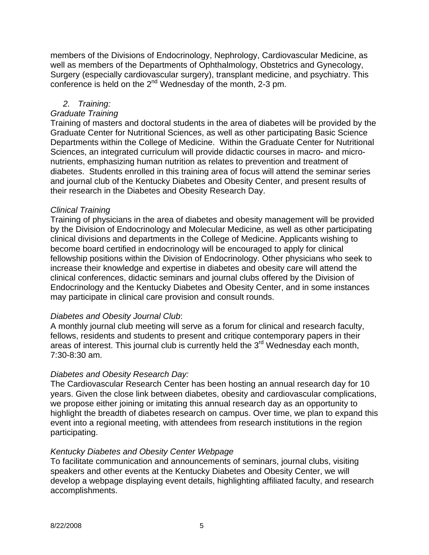members of the Divisions of Endocrinology, Nephrology, Cardiovascular Medicine, as well as members of the Departments of Ophthalmology, Obstetrics and Gynecology, Surgery (especially cardiovascular surgery), transplant medicine, and psychiatry. This conference is held on the 2<sup>nd</sup> Wednesday of the month, 2-3 pm.

## *2. Training:*

### *Graduate Training*

Training of masters and doctoral students in the area of diabetes will be provided by the Graduate Center for Nutritional Sciences, as well as other participating Basic Science Departments within the College of Medicine. Within the Graduate Center for Nutritional Sciences, an integrated curriculum will provide didactic courses in macro- and micronutrients, emphasizing human nutrition as relates to prevention and treatment of diabetes. Students enrolled in this training area of focus will attend the seminar series and journal club of the Kentucky Diabetes and Obesity Center, and present results of their research in the Diabetes and Obesity Research Day.

### *Clinical Training*

Training of physicians in the area of diabetes and obesity management will be provided by the Division of Endocrinology and Molecular Medicine, as well as other participating clinical divisions and departments in the College of Medicine. Applicants wishing to become board certified in endocrinology will be encouraged to apply for clinical fellowship positions within the Division of Endocrinology. Other physicians who seek to increase their knowledge and expertise in diabetes and obesity care will attend the clinical conferences, didactic seminars and journal clubs offered by the Division of Endocrinology and the Kentucky Diabetes and Obesity Center, and in some instances may participate in clinical care provision and consult rounds.

### *Diabetes and Obesity Journal Club*:

A monthly journal club meeting will serve as a forum for clinical and research faculty, fellows, residents and students to present and critique contemporary papers in their areas of interest. This journal club is currently held the 3<sup>rd</sup> Wednesday each month, 7:30-8:30 am.

### *Diabetes and Obesity Research Day:*

The Cardiovascular Research Center has been hosting an annual research day for 10 years. Given the close link between diabetes, obesity and cardiovascular complications, we propose either joining or imitating this annual research day as an opportunity to highlight the breadth of diabetes research on campus. Over time, we plan to expand this event into a regional meeting, with attendees from research institutions in the region participating.

### *Kentucky Diabetes and Obesity Center Webpage*

To facilitate communication and announcements of seminars, journal clubs, visiting speakers and other events at the Kentucky Diabetes and Obesity Center, we will develop a webpage displaying event details, highlighting affiliated faculty, and research accomplishments.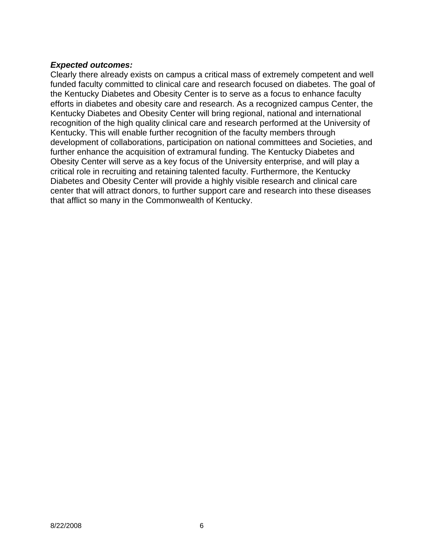### *Expected outcomes:*

Clearly there already exists on campus a critical mass of extremely competent and well funded faculty committed to clinical care and research focused on diabetes. The goal of the Kentucky Diabetes and Obesity Center is to serve as a focus to enhance faculty efforts in diabetes and obesity care and research. As a recognized campus Center, the Kentucky Diabetes and Obesity Center will bring regional, national and international recognition of the high quality clinical care and research performed at the University of Kentucky. This will enable further recognition of the faculty members through development of collaborations, participation on national committees and Societies, and further enhance the acquisition of extramural funding. The Kentucky Diabetes and Obesity Center will serve as a key focus of the University enterprise, and will play a critical role in recruiting and retaining talented faculty. Furthermore, the Kentucky Diabetes and Obesity Center will provide a highly visible research and clinical care center that will attract donors, to further support care and research into these diseases that afflict so many in the Commonwealth of Kentucky.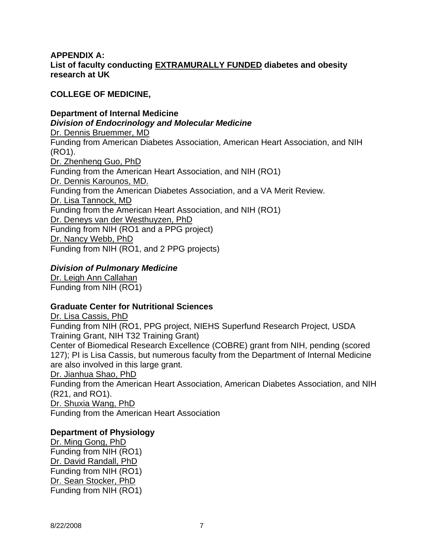### **APPENDIX A: List of faculty conducting EXTRAMURALLY FUNDED diabetes and obesity research at UK**

## **COLLEGE OF MEDICINE,**

**Department of Internal Medicine**  *Division of Endocrinology and Molecular Medicine*  Dr. Dennis Bruemmer, MD Funding from American Diabetes Association, American Heart Association, and NIH (RO1). Dr. Zhenheng Guo, PhD Funding from the American Heart Association, and NIH (RO1) Dr. Dennis Karounos, MD. Funding from the American Diabetes Association, and a VA Merit Review. Dr. Lisa Tannock, MD Funding from the American Heart Association, and NIH (RO1) Dr. Deneys van der Westhuyzen, PhD Funding from NIH (RO1 and a PPG project) Dr. Nancy Webb, PhD Funding from NIH (RO1, and 2 PPG projects)

## *Division of Pulmonary Medicine*

Dr. Leigh Ann Callahan Funding from NIH (RO1)

### **Graduate Center for Nutritional Sciences**

Dr. Lisa Cassis, PhD Funding from NIH (RO1, PPG project, NIEHS Superfund Research Project, USDA Training Grant, NIH T32 Training Grant) Center of Biomedical Research Excellence (COBRE) grant from NIH, pending (scored 127); PI is Lisa Cassis, but numerous faculty from the Department of Internal Medicine are also involved in this large grant. Dr. Jianhua Shao, PhD Funding from the American Heart Association, American Diabetes Association, and NIH (R21, and RO1). Dr. Shuxia Wang, PhD

Funding from the American Heart Association

### **Department of Physiology**

Dr. Ming Gong, PhD Funding from NIH (RO1) Dr. David Randall, PhD Funding from NIH (RO1) Dr. Sean Stocker, PhD Funding from NIH (RO1)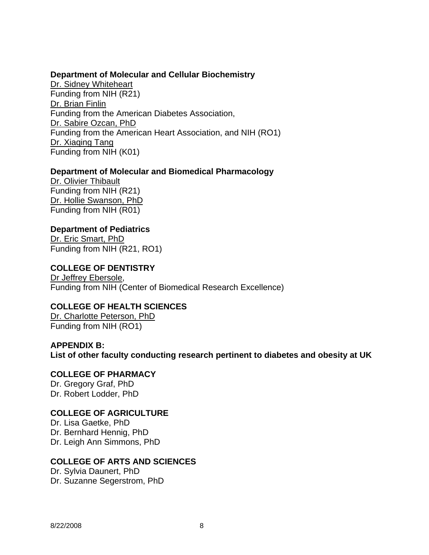#### **Department of Molecular and Cellular Biochemistry**

Dr. Sidney Whiteheart Funding from NIH (R21) Dr. Brian Finlin Funding from the American Diabetes Association, Dr. Sabire Ozcan, PhD Funding from the American Heart Association, and NIH (RO1) Dr. Xiaqing Tang Funding from NIH (K01)

#### **Department of Molecular and Biomedical Pharmacology**

Dr. Olivier Thibault Funding from NIH (R21) Dr. Hollie Swanson, PhD Funding from NIH (R01)

#### **Department of Pediatrics**

Dr. Eric Smart, PhD Funding from NIH (R21, RO1)

## **COLLEGE OF DENTISTRY**

Dr Jeffrey Ebersole, Funding from NIH (Center of Biomedical Research Excellence)

#### **COLLEGE OF HEALTH SCIENCES**

Dr. Charlotte Peterson, PhD Funding from NIH (RO1)

#### **APPENDIX B: List of other faculty conducting research pertinent to diabetes and obesity at UK**

**COLLEGE OF PHARMACY**  Dr. Gregory Graf, PhD Dr. Robert Lodder, PhD

### **COLLEGE OF AGRICULTURE**

Dr. Lisa Gaetke, PhD Dr. Bernhard Hennig, PhD Dr. Leigh Ann Simmons, PhD

### **COLLEGE OF ARTS AND SCIENCES**

Dr. Sylvia Daunert, PhD Dr. Suzanne Segerstrom, PhD